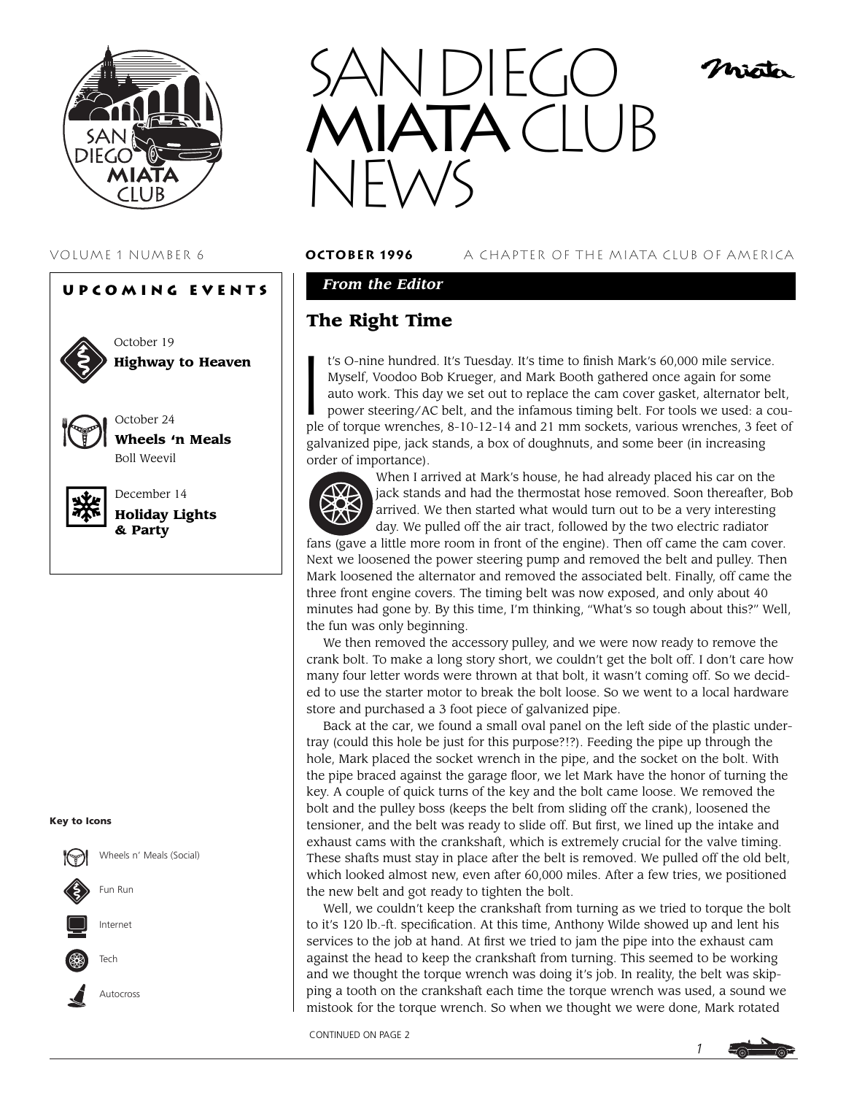

# **Upcoming Events**



October 19 **Highway to Heaven**



**Wheels 'n Meals** Boll Weevil

October 24



December 14 **Holiday Lights & Party**

#### **Key to Icons**



Tech

Autocross



#### VOLUME 1 NUMBER 6 **october 1996** A CHAPTER OF THE MIATA CLUB OF AMERICA

Misto

## *From the Editor*

# **The Right Time**

I t's O-nine hundred. It's Tuesday. It's time to finish Mark's 60,000 mile service. Myself, Voodoo Bob Krueger, and Mark Booth gathered once again for some auto work. This day we set out to replace the cam cover gasket, alternator belt, power steering/AC belt, and the infamous timing belt. For tools we used: a couple of torque wrenches, 8-10-12-14 and 21 mm sockets, various wrenches, 3 feet of galvanized pipe, jack stands, a box of doughnuts, and some beer (in increasing order of importance).



When I arrived at Mark's house, he had already placed his car on the jack stands and had the thermostat hose removed. Soon thereafter, Bob arrived. We then started what would turn out to be a very interesting day. We pulled off the air tract, followed by the two electric radiator

fans (gave a little more room in front of the engine). Then off came the cam cover. Next we loosened the power steering pump and removed the belt and pulley. Then Mark loosened the alternator and removed the associated belt. Finally, off came the three front engine covers. The timing belt was now exposed, and only about 40 minutes had gone by. By this time, I'm thinking, "What's so tough about this?" Well, the fun was only beginning.

We then removed the accessory pulley, and we were now ready to remove the crank bolt. To make a long story short, we couldn't get the bolt off. I don't care how many four letter words were thrown at that bolt, it wasn't coming off. So we decided to use the starter motor to break the bolt loose. So we went to a local hardware store and purchased a 3 foot piece of galvanized pipe.

Back at the car, we found a small oval panel on the left side of the plastic undertray (could this hole be just for this purpose?!?). Feeding the pipe up through the hole, Mark placed the socket wrench in the pipe, and the socket on the bolt. With the pipe braced against the garage floor, we let Mark have the honor of turning the key. A couple of quick turns of the key and the bolt came loose. We removed the bolt and the pulley boss (keeps the belt from sliding off the crank), loosened the tensioner, and the belt was ready to slide off. But first, we lined up the intake and exhaust cams with the crankshaft, which is extremely crucial for the valve timing. These shafts must stay in place after the belt is removed. We pulled off the old belt, which looked almost new, even after 60,000 miles. After a few tries, we positioned the new belt and got ready to tighten the bolt.

Well, we couldn't keep the crankshaft from turning as we tried to torque the bolt to it's 120 lb.-ft. specification. At this time, Anthony Wilde showed up and lent his services to the job at hand. At first we tried to jam the pipe into the exhaust cam against the head to keep the crankshaft from turning. This seemed to be working and we thought the torque wrench was doing it's job. In reality, the belt was skipping a tooth on the crankshaft each time the torque wrench was used, a sound we mistook for the torque wrench. So when we thought we were done, Mark rotated

CONTINUED ON PAGE 2

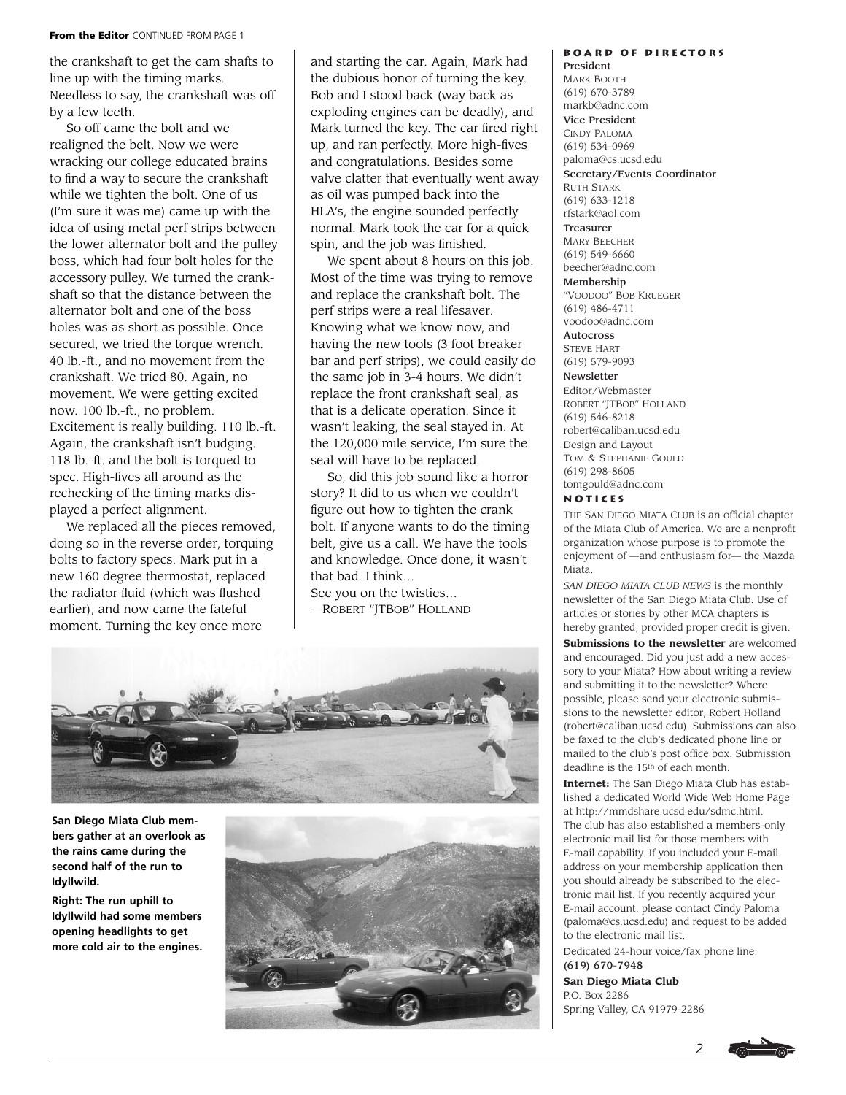#### **From the Editor** CONTINUED FROM PAGE 1

the crankshaft to get the cam shafts to line up with the timing marks. Needless to say, the crankshaft was off by a few teeth.

So off came the bolt and we realigned the belt. Now we were wracking our college educated brains to find a way to secure the crankshaft while we tighten the bolt. One of us (I'm sure it was me) came up with the idea of using metal perf strips between the lower alternator bolt and the pulley boss, which had four bolt holes for the accessory pulley. We turned the crankshaft so that the distance between the alternator bolt and one of the boss holes was as short as possible. Once secured, we tried the torque wrench. 40 lb.-ft., and no movement from the crankshaft. We tried 80. Again, no movement. We were getting excited now. 100 lb.-ft., no problem. Excitement is really building. 110 lb.-ft. Again, the crankshaft isn't budging. 118 lb.-ft. and the bolt is torqued to spec. High-fives all around as the rechecking of the timing marks displayed a perfect alignment.

We replaced all the pieces removed, doing so in the reverse order, torquing bolts to factory specs. Mark put in a new 160 degree thermostat, replaced the radiator fluid (which was flushed earlier), and now came the fateful moment. Turning the key once more

and starting the car. Again, Mark had the dubious honor of turning the key. Bob and I stood back (way back as exploding engines can be deadly), and Mark turned the key. The car fired right up, and ran perfectly. More high-fives and congratulations. Besides some valve clatter that eventually went away as oil was pumped back into the HLA's, the engine sounded perfectly normal. Mark took the car for a quick spin, and the job was finished.

We spent about 8 hours on this job. Most of the time was trying to remove and replace the crankshaft bolt. The perf strips were a real lifesaver. Knowing what we know now, and having the new tools (3 foot breaker bar and perf strips), we could easily do the same job in 3-4 hours. We didn't replace the front crankshaft seal, as that is a delicate operation. Since it wasn't leaking, the seal stayed in. At the 120,000 mile service, I'm sure the seal will have to be replaced.

So, did this job sound like a horror story? It did to us when we couldn't figure out how to tighten the crank bolt. If anyone wants to do the timing belt, give us a call. We have the tools and knowledge. Once done, it wasn't that bad. I think… See you on the twisties…

—ROBERT "JTBOB" HOLLAND



**San Diego Miata Club members gather at an overlook as the rains came during the second half of the run to Idyllwild.**

**Right: The run uphill to Idyllwild had some members opening headlights to get more cold air to the engines.**



## **Board of Directors**

President MARK BOOTH (619) 670-3789 markb@adnc.com Vice President CINDY PALOMA (619) 534-0969 paloma@cs.ucsd.edu Secretary/Events Coordinator RUTH STARK (619) 633-1218 rfstark@aol.com Treasurer MARY BEECHER (619) 549-6660 beecher@adnc.com Membership "VOODOO" BOB KRUEGER (619) 486-4711 voodoo@adnc.com Autocross STEVE HART (619) 579-9093 Newsletter Editor/Webmaster ROBERT "JTBOB" HOLLAND (619) 546-8218 robert@caliban.ucsd.edu Design and Layout TOM & STEPHANIE GOULD (619) 298-8605 tomgould@adnc.com

#### **Notices**

THE SAN DIEGO MIATA CLUB is an official chapter of the Miata Club of America. We are a nonprofit organization whose purpose is to promote the enjoyment of —and enthusiasm for— the Mazda Miata.

*SAN DIEGO MIATA CLUB NEWS* is the monthly newsletter of the San Diego Miata Club. Use of articles or stories by other MCA chapters is hereby granted, provided proper credit is given. **Submissions to the newsletter** are welcomed and encouraged. Did you just add a new accessory to your Miata? How about writing a review and submitting it to the newsletter? Where possible, please send your electronic submissions to the newsletter editor, Robert Holland (robert@caliban.ucsd.edu). Submissions can also be faxed to the club's dedicated phone line or mailed to the club's post office box. Submission deadline is the 15th of each month.

**Internet:** The San Diego Miata Club has established a dedicated World Wide Web Home Page at http://mmdshare.ucsd.edu/sdmc.html. The club has also established a members-only electronic mail list for those members with E-mail capability. If you included your E-mail address on your membership application then you should already be subscribed to the electronic mail list. If you recently acquired your E-mail account, please contact Cindy Paloma (paloma@cs.ucsd.edu) and request to be added to the electronic mail list.

Dedicated 24-hour voice/fax phone line: (619) 670-7948

**San Diego Miata Club** P.O. Box 2286 Spring Valley, CA 91979-2286

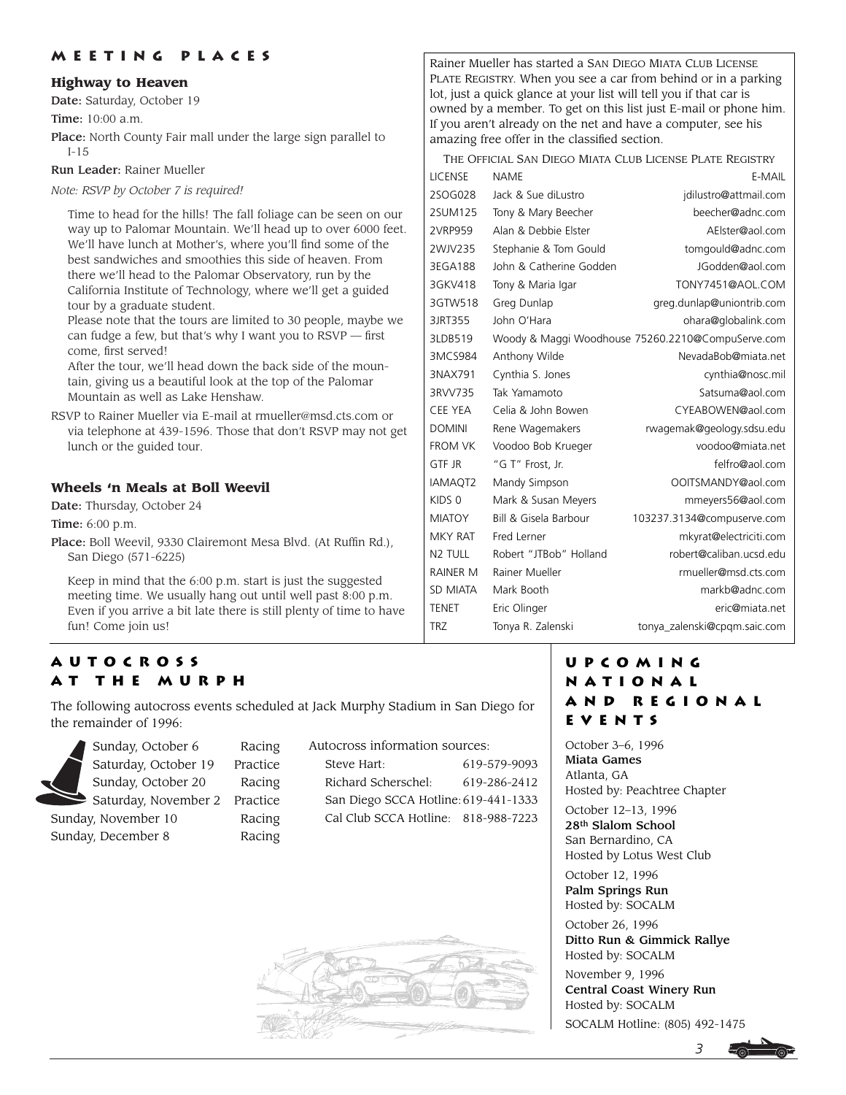## **Meeting Places**

#### **Highway to Heaven**

Date: Saturday, October 19

Time: 10:00 a.m.

Place: North County Fair mall under the large sign parallel to I-15

Run Leader: Rainer Mueller

*Note: RSVP by October 7 is required!*

Time to head for the hills! The fall foliage can be seen on our way up to Palomar Mountain. We'll head up to over 6000 feet. We'll have lunch at Mother's, where you'll find some of the best sandwiches and smoothies this side of heaven. From there we'll head to the Palomar Observatory, run by the California Institute of Technology, where we'll get a guided tour by a graduate student.

Please note that the tours are limited to 30 people, maybe we can fudge a few, but that's why I want you to RSVP — first come, first served!

After the tour, we'll head down the back side of the mountain, giving us a beautiful look at the top of the Palomar Mountain as well as Lake Henshaw.

RSVP to Rainer Mueller via E-mail at rmueller@msd.cts.com or via telephone at 439-1596. Those that don't RSVP may not get lunch or the guided tour.

## **Wheels 'n Meals at Boll Weevil**

Date: Thursday, October 24

Time: 6:00 p.m.

Place: Boll Weevil, 9330 Clairemont Mesa Blvd. (At Ruffin Rd.), San Diego (571-6225)

Keep in mind that the 6:00 p.m. start is just the suggested meeting time. We usually hang out until well past 8:00 p.m. Even if you arrive a bit late there is still plenty of time to have fun! Come join us!

# **Autocross at the Murph**

The following autocross events scheduled at Jack Murphy Stadium in San Diego for the remainder of 1996:



| Autocross information sources:       |              |
|--------------------------------------|--------------|
| Steve Hart:                          | 619-579-9093 |
| Richard Scherschel:                  | 619-286-2412 |
| San Diego SCCA Hotline: 619-441-1333 |              |
| Cal Club SCCA Hotline: 818-988-7223  |              |



Rainer Mueller has started a SAN DIEGO MIATA CLUB LICENSE PLATE REGISTRY. When you see a car from behind or in a parking lot, just a quick glance at your list will tell you if that car is owned by a member. To get on this list just E-mail or phone him. If you aren't already on the net and have a computer, see his amazing free offer in the classified section.

| THE OFFICIAL SAN DIEGO MIATA CLUB LICENSE PLATE REGISTRY |                         |                                                   |
|----------------------------------------------------------|-------------------------|---------------------------------------------------|
| <b>LICENSE</b>                                           | NAME                    | E-MAIL                                            |
| 2SOG028                                                  | Jack & Sue diLustro     | jdilustro@attmail.com                             |
| 2SUM125                                                  | Tony & Mary Beecher     | beecher@adnc.com                                  |
| 2VRP959                                                  | Alan & Debbie Elster    | AElster@aol.com                                   |
| 2WJV235                                                  | Stephanie & Tom Gould   | tomgould@adnc.com                                 |
| 3EGA188                                                  | John & Catherine Godden | JGodden@aol.com                                   |
| 3GKV418                                                  | Tony & Maria Igar       | TONY7451@AOL.COM                                  |
| 3GTW518                                                  | Greg Dunlap             | greg.dunlap@uniontrib.com                         |
| 3JRT355                                                  | John O'Hara             | ohara@globalink.com                               |
| 3LDB519                                                  |                         | Woody & Maggi Woodhouse 75260.2210@CompuServe.com |
| 3MCS984                                                  | Anthony Wilde           | NevadaBob@miata.net                               |
| 3NAX791                                                  | Cynthia S. Jones        | cynthia@nosc.mil                                  |
| 3RVV735                                                  | Tak Yamamoto            | Satsuma@aol.com                                   |
| <b>CEE YEA</b>                                           | Celia & John Bowen      | CYEABOWEN@aol.com                                 |
| <b>DOMINI</b>                                            | Rene Wagemakers         | rwagemak@geology.sdsu.edu                         |
| <b>FROM VK</b>                                           | Voodoo Bob Krueger      | voodoo@miata.net                                  |
| <b>GTF JR</b>                                            | "G T" Frost, Jr.        | felfro@aol.com                                    |
| IAMAQT2                                                  | Mandy Simpson           | OOITSMANDY@aol.com                                |
| KIDS <sub>0</sub>                                        | Mark & Susan Meyers     | mmeyers56@aol.com                                 |
| <b>MIATOY</b>                                            | Bill & Gisela Barbour   | 103237.3134@compuserve.com                        |
| <b>MKY RAT</b>                                           | Fred Lerner             | mkyrat@electriciti.com                            |
| N <sub>2</sub> TULL                                      | Robert "JTBob" Holland  | robert@caliban.ucsd.edu                           |
| <b>RAINER M</b>                                          | Rainer Mueller          | rmueller@msd.cts.com                              |
| <b>SD MIATA</b>                                          | Mark Booth              | markb@adnc.com                                    |
| <b>TENET</b>                                             | Eric Olinger            | eric@miata.net                                    |
| <b>TRZ</b>                                               | Tonya R. Zalenski       | tonya_zalenski@cpqm.saic.com                      |
|                                                          |                         |                                                   |

## **Upcoming National and Regional Events**

October 3–6, 1996 Miata Games Atlanta, GA Hosted by: Peachtree Chapter

October 12–13, 1996 28th Slalom School San Bernardino, CA Hosted by Lotus West Club

October 12, 1996 Palm Springs Run Hosted by: SOCALM

October 26, 1996 Ditto Run & Gimmick Rallye Hosted by: SOCALM

November 9, 1996 Central Coast Winery Run Hosted by: SOCALM SOCALM Hotline: (805) 492-1475



*3*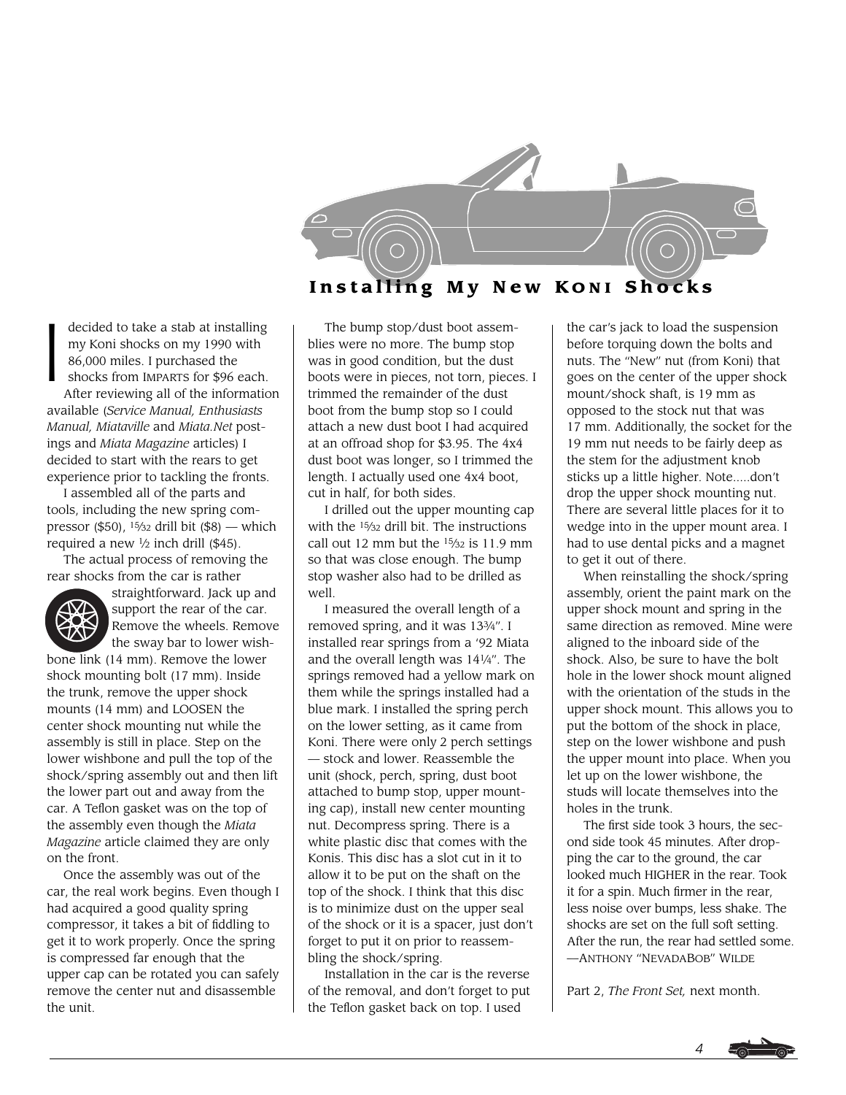

I decided to take a stab at installing my Koni shocks on my 1990 with 86,000 miles. I purchased the shocks from IMPARTS for \$96 each.

After reviewing all of the information available (*Service Manual, Enthusiasts Manual, Miataville* and *Miata.Net* postings and *Miata Magazine* articles) I decided to start with the rears to get experience prior to tackling the fronts.

I assembled all of the parts and tools, including the new spring compressor (\$50),  $15/32$  drill bit (\$8) — which required a new  $\frac{1}{2}$  inch drill (\$45).

The actual process of removing the rear shocks from the car is rather



straightforward. Jack up and support the rear of the car. Remove the wheels. Remove the sway bar to lower wish-

bone link (14 mm). Remove the lower shock mounting bolt (17 mm). Inside the trunk, remove the upper shock mounts (14 mm) and LOOSEN the center shock mounting nut while the assembly is still in place. Step on the lower wishbone and pull the top of the shock/spring assembly out and then lift the lower part out and away from the car. A Teflon gasket was on the top of the assembly even though the *Miata Magazine* article claimed they are only on the front.

Once the assembly was out of the car, the real work begins. Even though I had acquired a good quality spring compressor, it takes a bit of fiddling to get it to work properly. Once the spring is compressed far enough that the upper cap can be rotated you can safely remove the center nut and disassemble the unit.

The bump stop/dust boot assemblies were no more. The bump stop was in good condition, but the dust boots were in pieces, not torn, pieces. I trimmed the remainder of the dust boot from the bump stop so I could attach a new dust boot I had acquired at an offroad shop for \$3.95. The 4x4 dust boot was longer, so I trimmed the length. I actually used one 4x4 boot, cut in half, for both sides.

I drilled out the upper mounting cap with the <sup>15</sup>/<sub>32</sub> drill bit. The instructions call out 12 mm but the  $15/32$  is 11.9 mm so that was close enough. The bump stop washer also had to be drilled as well

I measured the overall length of a removed spring, and it was 133⁄4". I installed rear springs from a '92 Miata and the overall length was 141⁄4". The springs removed had a yellow mark on them while the springs installed had a blue mark. I installed the spring perch on the lower setting, as it came from Koni. There were only 2 perch settings — stock and lower. Reassemble the unit (shock, perch, spring, dust boot attached to bump stop, upper mounting cap), install new center mounting nut. Decompress spring. There is a white plastic disc that comes with the Konis. This disc has a slot cut in it to allow it to be put on the shaft on the top of the shock. I think that this disc is to minimize dust on the upper seal of the shock or it is a spacer, just don't forget to put it on prior to reassembling the shock/spring.

Installation in the car is the reverse of the removal, and don't forget to put the Teflon gasket back on top. I used

the car's jack to load the suspension before torquing down the bolts and nuts. The "New" nut (from Koni) that goes on the center of the upper shock mount/shock shaft, is 19 mm as opposed to the stock nut that was 17 mm. Additionally, the socket for the 19 mm nut needs to be fairly deep as the stem for the adjustment knob sticks up a little higher. Note.....don't drop the upper shock mounting nut. There are several little places for it to wedge into in the upper mount area. I had to use dental picks and a magnet to get it out of there.

When reinstalling the shock/spring assembly, orient the paint mark on the upper shock mount and spring in the same direction as removed. Mine were aligned to the inboard side of the shock. Also, be sure to have the bolt hole in the lower shock mount aligned with the orientation of the studs in the upper shock mount. This allows you to put the bottom of the shock in place, step on the lower wishbone and push the upper mount into place. When you let up on the lower wishbone, the studs will locate themselves into the holes in the trunk.

The first side took 3 hours, the second side took 45 minutes. After dropping the car to the ground, the car looked much HIGHER in the rear. Took it for a spin. Much firmer in the rear, less noise over bumps, less shake. The shocks are set on the full soft setting. After the run, the rear had settled some. —ANTHONY "NEVADABOB" WILDE

Part 2, *The Front Set,* next month.

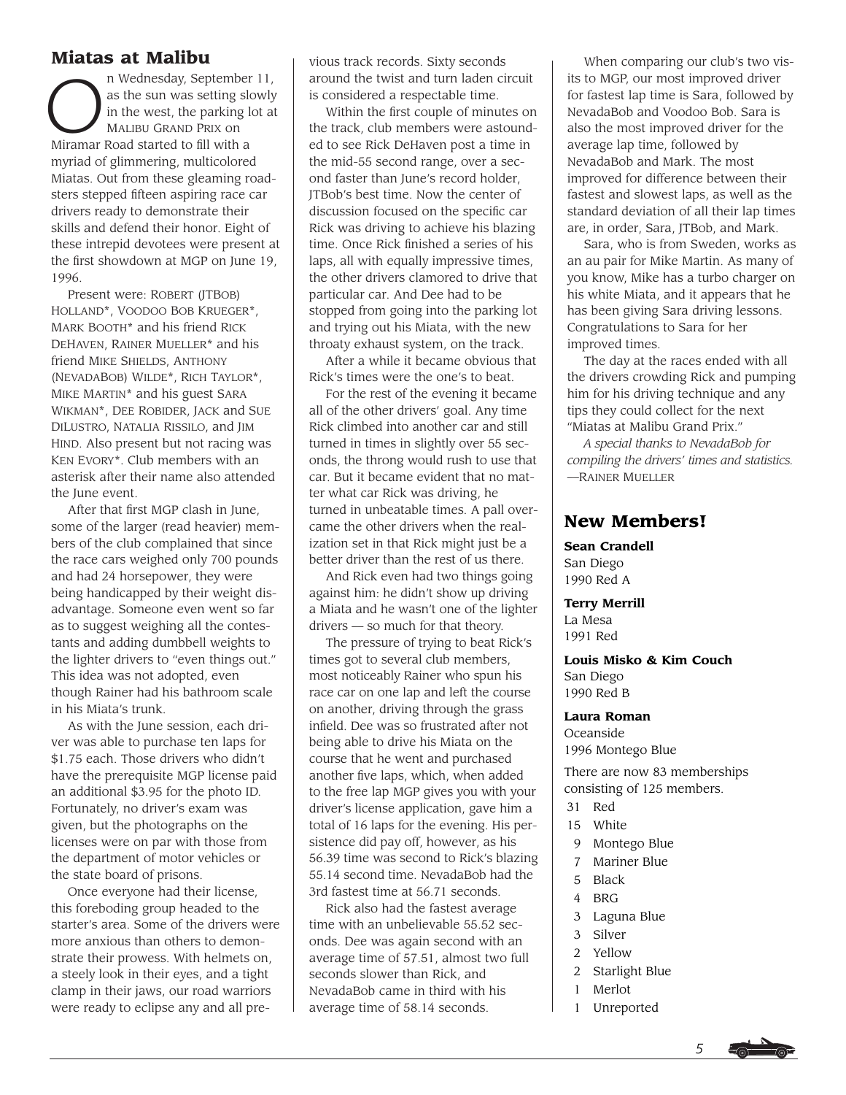# **Miatas at Malibu**

n Wednesday, September 11, as the sun was setting slowly in the west, the parking lot at MALIBU GRAND PRIX on Miramar Road started to fill with a myriad of glimmering, multicolored Miatas. Out from these gleaming roadsters stepped fifteen aspiring race car drivers ready to demonstrate their skills and defend their honor. Eight of these intrepid devotees were present at the first showdown at MGP on June 19, 1996.

Present were: ROBERT (JTBOB) HOLLAND\*, VOODOO BOB KRUEGER\*, MARK BOOTH\* and his friend RICK DEHAVEN, RAINER MUELLER\* and his friend MIKE SHIELDS, ANTHONY (NEVADABOB) WILDE\*, RICH TAYLOR\*, MIKE MARTIN\* and his guest SARA WIKMAN\*, DEE ROBIDER, JACK and SUE DILUSTRO, NATALIA RISSILO, and JIM HIND. Also present but not racing was KEN EVORY\*. Club members with an asterisk after their name also attended the June event.

After that first MGP clash in June, some of the larger (read heavier) members of the club complained that since the race cars weighed only 700 pounds and had 24 horsepower, they were being handicapped by their weight disadvantage. Someone even went so far as to suggest weighing all the contestants and adding dumbbell weights to the lighter drivers to "even things out." This idea was not adopted, even though Rainer had his bathroom scale in his Miata's trunk.

As with the June session, each driver was able to purchase ten laps for \$1.75 each. Those drivers who didn't have the prerequisite MGP license paid an additional \$3.95 for the photo ID. Fortunately, no driver's exam was given, but the photographs on the licenses were on par with those from the department of motor vehicles or the state board of prisons.

Once everyone had their license, this foreboding group headed to the starter's area. Some of the drivers were more anxious than others to demonstrate their prowess. With helmets on, a steely look in their eyes, and a tight clamp in their jaws, our road warriors were ready to eclipse any and all pre-

vious track records. Sixty seconds around the twist and turn laden circuit is considered a respectable time.

Within the first couple of minutes on the track, club members were astounded to see Rick DeHaven post a time in the mid-55 second range, over a second faster than June's record holder, JTBob's best time. Now the center of discussion focused on the specific car Rick was driving to achieve his blazing time. Once Rick finished a series of his laps, all with equally impressive times, the other drivers clamored to drive that particular car. And Dee had to be stopped from going into the parking lot and trying out his Miata, with the new throaty exhaust system, on the track.

After a while it became obvious that Rick's times were the one's to beat.

For the rest of the evening it became all of the other drivers' goal. Any time Rick climbed into another car and still turned in times in slightly over 55 seconds, the throng would rush to use that car. But it became evident that no matter what car Rick was driving, he turned in unbeatable times. A pall overcame the other drivers when the realization set in that Rick might just be a better driver than the rest of us there.

And Rick even had two things going against him: he didn't show up driving a Miata and he wasn't one of the lighter drivers — so much for that theory.

The pressure of trying to beat Rick's times got to several club members, most noticeably Rainer who spun his race car on one lap and left the course on another, driving through the grass infield. Dee was so frustrated after not being able to drive his Miata on the course that he went and purchased another five laps, which, when added to the free lap MGP gives you with your driver's license application, gave him a total of 16 laps for the evening. His persistence did pay off, however, as his 56.39 time was second to Rick's blazing 55.14 second time. NevadaBob had the 3rd fastest time at 56.71 seconds.

Rick also had the fastest average time with an unbelievable 55.52 seconds. Dee was again second with an average time of 57.51, almost two full seconds slower than Rick, and NevadaBob came in third with his average time of 58.14 seconds.

When comparing our club's two visits to MGP, our most improved driver for fastest lap time is Sara, followed by NevadaBob and Voodoo Bob. Sara is also the most improved driver for the average lap time, followed by NevadaBob and Mark. The most improved for difference between their fastest and slowest laps, as well as the standard deviation of all their lap times are, in order, Sara, JTBob, and Mark.

Sara, who is from Sweden, works as an au pair for Mike Martin. As many of you know, Mike has a turbo charger on his white Miata, and it appears that he has been giving Sara driving lessons. Congratulations to Sara for her improved times.

The day at the races ended with all the drivers crowding Rick and pumping him for his driving technique and any tips they could collect for the next "Miatas at Malibu Grand Prix."

*A special thanks to NevadaBob for compiling the drivers' times and statistics.* —RAINER MUELLER

# **New Members!**

**Sean Crandell** San Diego 1990 Red A

#### **Terry Merrill**

La Mesa 1991 Red

**Louis Misko & Kim Couch** San Diego 1990 Red B

#### **Laura Roman**

Oceanside 1996 Montego Blue

There are now 83 memberships consisting of 125 members.

- 31 Red
- 15 White
- 9 Montego Blue
- 7 Mariner Blue
- 5 Black
- 4 BRG
- 3 Laguna Blue
- 3 Silver
- 2 Yellow
- 2 Starlight Blue
- 1 Merlot
- 1 Unreported

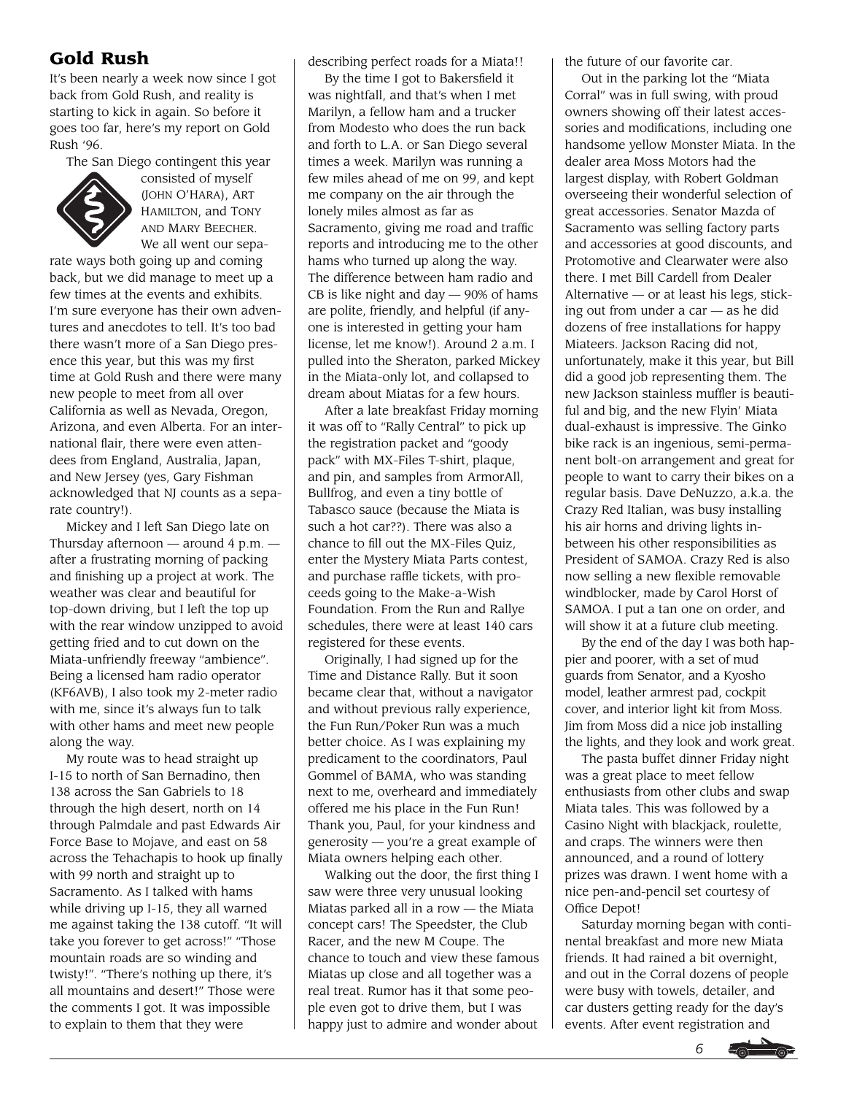# **Gold Rush**

It's been nearly a week now since I got back from Gold Rush, and reality is starting to kick in again. So before it goes too far, here's my report on Gold Rush '96.

The San Diego contingent this year



consisted of myself (JOHN O'HARA), ART HAMILTON, and TONY AND MARY BEECHER. We all went our sepa-

rate ways both going up and coming back, but we did manage to meet up a few times at the events and exhibits. I'm sure everyone has their own adventures and anecdotes to tell. It's too bad there wasn't more of a San Diego presence this year, but this was my first time at Gold Rush and there were many new people to meet from all over California as well as Nevada, Oregon, Arizona, and even Alberta. For an international flair, there were even attendees from England, Australia, Japan, and New Jersey (yes, Gary Fishman acknowledged that NJ counts as a separate country!).

Mickey and I left San Diego late on Thursday afternoon  $-$  around 4 p.m.  $$ after a frustrating morning of packing and finishing up a project at work. The weather was clear and beautiful for top-down driving, but I left the top up with the rear window unzipped to avoid getting fried and to cut down on the Miata-unfriendly freeway "ambience". Being a licensed ham radio operator (KF6AVB), I also took my 2-meter radio with me, since it's always fun to talk with other hams and meet new people along the way.

My route was to head straight up I-15 to north of San Bernadino, then 138 across the San Gabriels to 18 through the high desert, north on 14 through Palmdale and past Edwards Air Force Base to Mojave, and east on 58 across the Tehachapis to hook up finally with 99 north and straight up to Sacramento. As I talked with hams while driving up I-15, they all warned me against taking the 138 cutoff. "It will take you forever to get across!" "Those mountain roads are so winding and twisty!". "There's nothing up there, it's all mountains and desert!" Those were the comments I got. It was impossible to explain to them that they were

describing perfect roads for a Miata!!

By the time I got to Bakersfield it was nightfall, and that's when I met Marilyn, a fellow ham and a trucker from Modesto who does the run back and forth to L.A. or San Diego several times a week. Marilyn was running a few miles ahead of me on 99, and kept me company on the air through the lonely miles almost as far as Sacramento, giving me road and traffic reports and introducing me to the other hams who turned up along the way. The difference between ham radio and CB is like night and day  $-$  90% of hams are polite, friendly, and helpful (if anyone is interested in getting your ham license, let me know!). Around 2 a.m. I pulled into the Sheraton, parked Mickey in the Miata-only lot, and collapsed to dream about Miatas for a few hours.

After a late breakfast Friday morning it was off to "Rally Central" to pick up the registration packet and "goody pack" with MX-Files T-shirt, plaque, and pin, and samples from ArmorAll, Bullfrog, and even a tiny bottle of Tabasco sauce (because the Miata is such a hot car??). There was also a chance to fill out the MX-Files Quiz, enter the Mystery Miata Parts contest, and purchase raffle tickets, with proceeds going to the Make-a-Wish Foundation. From the Run and Rallye schedules, there were at least 140 cars registered for these events.

Originally, I had signed up for the Time and Distance Rally. But it soon became clear that, without a navigator and without previous rally experience, the Fun Run/Poker Run was a much better choice. As I was explaining my predicament to the coordinators, Paul Gommel of BAMA, who was standing next to me, overheard and immediately offered me his place in the Fun Run! Thank you, Paul, for your kindness and generosity — you're a great example of Miata owners helping each other.

Walking out the door, the first thing I saw were three very unusual looking Miatas parked all in a row — the Miata concept cars! The Speedster, the Club Racer, and the new M Coupe. The chance to touch and view these famous Miatas up close and all together was a real treat. Rumor has it that some people even got to drive them, but I was happy just to admire and wonder about

the future of our favorite car.

Out in the parking lot the "Miata Corral" was in full swing, with proud owners showing off their latest accessories and modifications, including one handsome yellow Monster Miata. In the dealer area Moss Motors had the largest display, with Robert Goldman overseeing their wonderful selection of great accessories. Senator Mazda of Sacramento was selling factory parts and accessories at good discounts, and Protomotive and Clearwater were also there. I met Bill Cardell from Dealer Alternative — or at least his legs, sticking out from under a car — as he did dozens of free installations for happy Miateers. Jackson Racing did not, unfortunately, make it this year, but Bill did a good job representing them. The new Jackson stainless muffler is beautiful and big, and the new Flyin' Miata dual-exhaust is impressive. The Ginko bike rack is an ingenious, semi-permanent bolt-on arrangement and great for people to want to carry their bikes on a regular basis. Dave DeNuzzo, a.k.a. the Crazy Red Italian, was busy installing his air horns and driving lights inbetween his other responsibilities as President of SAMOA. Crazy Red is also now selling a new flexible removable windblocker, made by Carol Horst of SAMOA. I put a tan one on order, and will show it at a future club meeting.

By the end of the day I was both happier and poorer, with a set of mud guards from Senator, and a Kyosho model, leather armrest pad, cockpit cover, and interior light kit from Moss. Jim from Moss did a nice job installing the lights, and they look and work great.

The pasta buffet dinner Friday night was a great place to meet fellow enthusiasts from other clubs and swap Miata tales. This was followed by a Casino Night with blackjack, roulette, and craps. The winners were then announced, and a round of lottery prizes was drawn. I went home with a nice pen-and-pencil set courtesy of Office Depot!

Saturday morning began with continental breakfast and more new Miata friends. It had rained a bit overnight, and out in the Corral dozens of people were busy with towels, detailer, and car dusters getting ready for the day's events. After event registration and

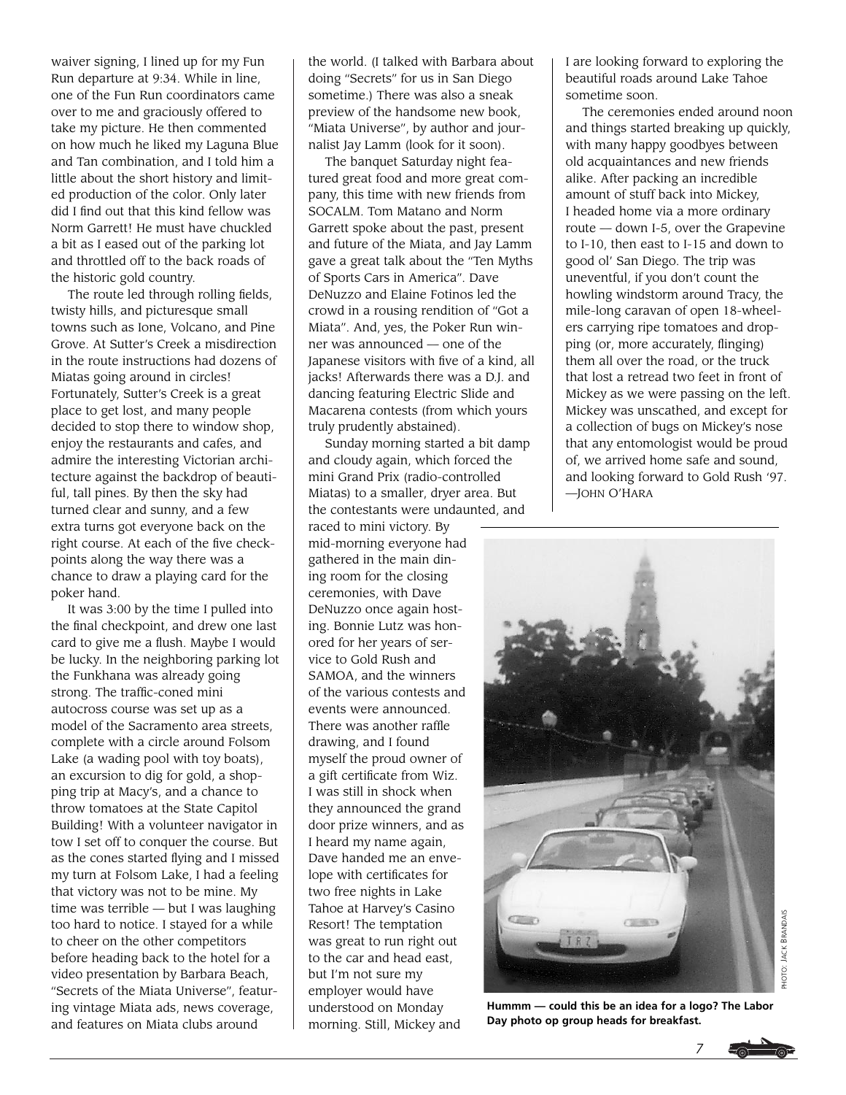waiver signing, I lined up for my Fun Run departure at 9:34. While in line, one of the Fun Run coordinators came over to me and graciously offered to take my picture. He then commented on how much he liked my Laguna Blue and Tan combination, and I told him a little about the short history and limited production of the color. Only later did I find out that this kind fellow was Norm Garrett! He must have chuckled a bit as I eased out of the parking lot and throttled off to the back roads of the historic gold country.

The route led through rolling fields, twisty hills, and picturesque small towns such as Ione, Volcano, and Pine Grove. At Sutter's Creek a misdirection in the route instructions had dozens of Miatas going around in circles! Fortunately, Sutter's Creek is a great place to get lost, and many people decided to stop there to window shop, enjoy the restaurants and cafes, and admire the interesting Victorian architecture against the backdrop of beautiful, tall pines. By then the sky had turned clear and sunny, and a few extra turns got everyone back on the right course. At each of the five checkpoints along the way there was a chance to draw a playing card for the poker hand.

It was 3:00 by the time I pulled into the final checkpoint, and drew one last card to give me a flush. Maybe I would be lucky. In the neighboring parking lot the Funkhana was already going strong. The traffic-coned mini autocross course was set up as a model of the Sacramento area streets, complete with a circle around Folsom Lake (a wading pool with toy boats), an excursion to dig for gold, a shopping trip at Macy's, and a chance to throw tomatoes at the State Capitol Building! With a volunteer navigator in tow I set off to conquer the course. But as the cones started flying and I missed my turn at Folsom Lake, I had a feeling that victory was not to be mine. My time was terrible — but I was laughing too hard to notice. I stayed for a while to cheer on the other competitors before heading back to the hotel for a video presentation by Barbara Beach, "Secrets of the Miata Universe", featuring vintage Miata ads, news coverage, and features on Miata clubs around

the world. (I talked with Barbara about doing "Secrets" for us in San Diego sometime.) There was also a sneak preview of the handsome new book, "Miata Universe", by author and journalist Jay Lamm (look for it soon).

The banquet Saturday night featured great food and more great company, this time with new friends from SOCALM. Tom Matano and Norm Garrett spoke about the past, present and future of the Miata, and Jay Lamm gave a great talk about the "Ten Myths of Sports Cars in America". Dave DeNuzzo and Elaine Fotinos led the crowd in a rousing rendition of "Got a Miata". And, yes, the Poker Run winner was announced — one of the Japanese visitors with five of a kind, all jacks! Afterwards there was a D.J. and dancing featuring Electric Slide and Macarena contests (from which yours truly prudently abstained).

Sunday morning started a bit damp and cloudy again, which forced the mini Grand Prix (radio-controlled Miatas) to a smaller, dryer area. But the contestants were undaunted, and raced to mini victory. By mid-morning everyone had gathered in the main dining room for the closing ceremonies, with Dave DeNuzzo once again hosting. Bonnie Lutz was honored for her years of service to Gold Rush and SAMOA, and the winners of the various contests and events were announced. There was another raffle drawing, and I found myself the proud owner of a gift certificate from Wiz. I was still in shock when they announced the grand door prize winners, and as I heard my name again, Dave handed me an envelope with certificates for two free nights in Lake Tahoe at Harvey's Casino Resort! The temptation was great to run right out to the car and head east, but I'm not sure my employer would have understood on Monday morning. Still, Mickey and

I are looking forward to exploring the beautiful roads around Lake Tahoe sometime soon.

The ceremonies ended around noon and things started breaking up quickly, with many happy goodbyes between old acquaintances and new friends alike. After packing an incredible amount of stuff back into Mickey, I headed home via a more ordinary route — down I-5, over the Grapevine to I-10, then east to I-15 and down to good ol' San Diego. The trip was uneventful, if you don't count the howling windstorm around Tracy, the mile-long caravan of open 18-wheelers carrying ripe tomatoes and dropping (or, more accurately, flinging) them all over the road, or the truck that lost a retread two feet in front of Mickey as we were passing on the left. Mickey was unscathed, and except for a collection of bugs on Mickey's nose that any entomologist would be proud of, we arrived home safe and sound, and looking forward to Gold Rush '97. —JOHN O'HARA



**Hummm — could this be an idea for a logo? The Labor Day photo op group heads for breakfast.**

*7*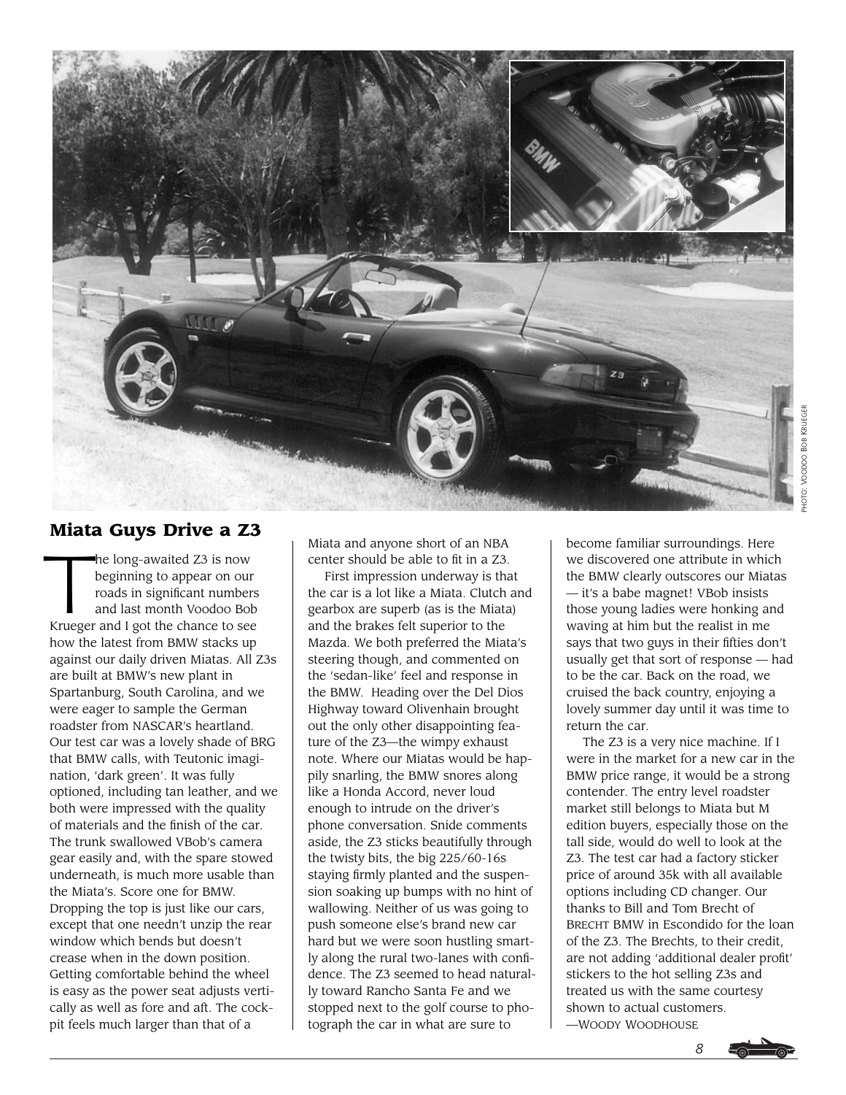

# **Miata Guys Drive a Z3**

The long-awaited Z3 is now<br>beginning to appear on our<br>roads in significant number<br>and last month Voodoo Bo beginning to appear on our roads in significant numbers and last month Voodoo Bob Krueger and I got the chance to see how the latest from BMW stacks up against our daily driven Miatas. All Z3s are built at BMW's new plant in Spartanburg, South Carolina, and we were eager to sample the German roadster from NASCAR's heartland. Our test car was a lovely shade of BRG that BMW calls, with Teutonic imagination, 'dark green'. It was fully optioned, including tan leather, and we both were impressed with the quality of materials and the finish of the car. The trunk swallowed VBob's camera gear easily and, with the spare stowed underneath, is much more usable than the Miata's. Score one for BMW. Dropping the top is just like our cars, except that one needn't unzip the rear window which bends but doesn't crease when in the down position. Getting comfortable behind the wheel is easy as the power seat adjusts vertically as well as fore and aft. The cockpit feels much larger than that of a

Miata and anyone short of an NBA center should be able to fit in a Z3.

First impression underway is that the car is a lot like a Miata. Clutch and gearbox are superb (as is the Miata) and the brakes felt superior to the Mazda. We both preferred the Miata's steering though, and commented on the 'sedan-like' feel and response in the BMW. Heading over the Del Dios Highway toward Olivenhain brought out the only other disappointing feature of the Z3—the wimpy exhaust note. Where our Miatas would be happily snarling, the BMW snores along like a Honda Accord, never loud enough to intrude on the driver's phone conversation. Snide comments aside, the Z3 sticks beautifully through the twisty bits, the big 225/60-16s staying firmly planted and the suspension soaking up bumps with no hint of wallowing. Neither of us was going to push someone else's brand new car hard but we were soon hustling smartly along the rural two-lanes with confidence. The Z3 seemed to head naturally toward Rancho Santa Fe and we stopped next to the golf course to photograph the car in what are sure to

become familiar surroundings. Here we discovered one attribute in which the BMW clearly outscores our Miatas — it's a babe magnet! VBob insists those young ladies were honking and waving at him but the realist in me says that two guys in their fifties don't usually get that sort of response — had to be the car. Back on the road, we cruised the back country, enjoying a lovely summer day until it was time to return the car.

The Z3 is a very nice machine. If I were in the market for a new car in the BMW price range, it would be a strong contender. The entry level roadster market still belongs to Miata but M edition buyers, especially those on the tall side, would do well to look at the Z3. The test car had a factory sticker price of around 35k with all available options including CD changer. Our thanks to Bill and Tom Brecht of BRECHT BMW in Escondido for the loan of the Z3. The Brechts, to their credit, are not adding 'additional dealer profit' stickers to the hot selling Z3s and treated us with the same courtesy shown to actual customers. —WOODY WOODHOUSE